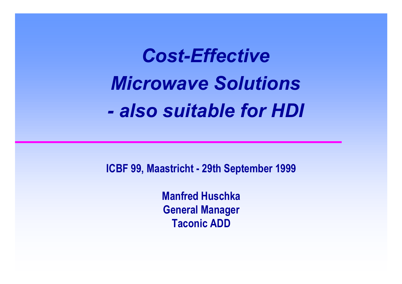*Cost-EffectiveMicrowave Solutions- also suitable for HDI*

**ICBF 99, Maastricht - 29th September 1999**

**Manfred HuschkaGeneral Manager Taconic ADD**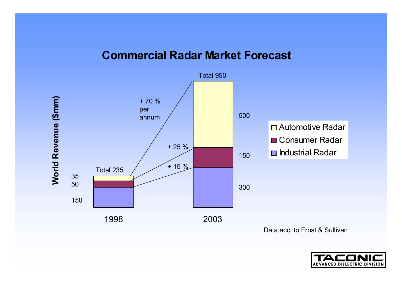#### **Commercial Radar Market Forecast**



Data acc. to Frost & Sullivan

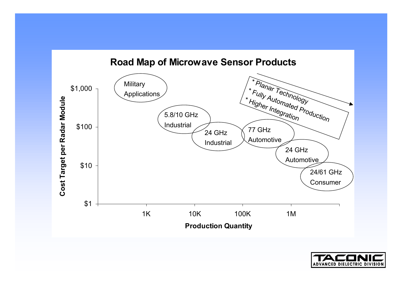

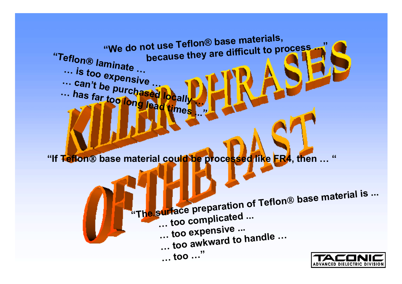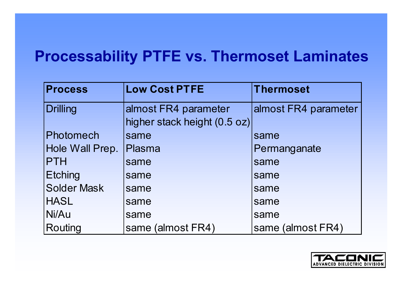#### **Processability PTFE vs. Thermoset Laminates**

| <b>Process</b>     | <b>Low Cost PTFE</b>         | <b>Thermoset</b>     |
|--------------------|------------------------------|----------------------|
| <b>Drilling</b>    | almost FR4 parameter         | almost FR4 parameter |
|                    | higher stack height (0.5 oz) |                      |
| Photomech          | same                         | same                 |
| Hole Wall Prep.    | <b>Plasma</b>                | Permanganate         |
| <b>PTH</b>         | same                         | same                 |
| <b>Etching</b>     | same                         | same                 |
| <b>Solder Mask</b> | same                         | same                 |
| <b>HASL</b>        | same                         | same                 |
| Ni/Au              | same                         | same                 |
| Routing            | same (almost FR4)            | same (almost FR4)    |

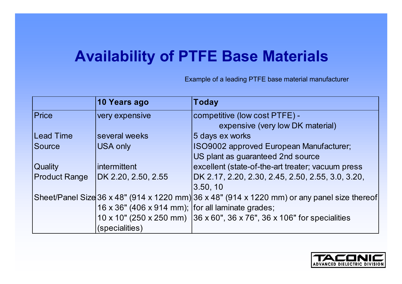# **Availability of PTFE Base Materials**

Example of a leading PTFE base material manufacturer

|                      | 10 Years ago                                          | <b>Today</b>                                                                                 |
|----------------------|-------------------------------------------------------|----------------------------------------------------------------------------------------------|
| Price                | very expensive                                        | competitive (low cost PTFE) -                                                                |
|                      |                                                       | expensive (very low DK material)                                                             |
| Lead Time            | several weeks                                         | 5 days ex works                                                                              |
| <b>Source</b>        | <b>USA only</b>                                       | ISO9002 approved European Manufacturer;                                                      |
|                      |                                                       | US plant as guaranteed 2nd source                                                            |
| <b>Quality</b>       | <i>intermittent</i>                                   | excellent (state-of-the-art treater; vacuum press                                            |
| <b>Product Range</b> | DK 2.20, 2.50, 2.55                                   | DK 2.17, 2.20, 2.30, 2.45, 2.50, 2.55, 3.0, 3.20,                                            |
|                      |                                                       | 3.50, 10                                                                                     |
|                      |                                                       | Sheet/Panel Size 36 x 48" (914 x 1220 mm) 36 x 48" (914 x 1220 mm) or any panel size thereof |
|                      | 16 x 36" (406 x 914 mm); $ $ for all laminate grades; |                                                                                              |
|                      |                                                       | 10 x 10" (250 x 250 mm) 36 x 60", 36 x 76", 36 x 106" for specialities                       |
|                      | (specialities)                                        |                                                                                              |

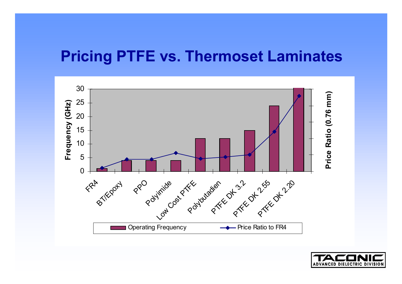#### **Pricing PTFE vs. Thermoset Laminates**



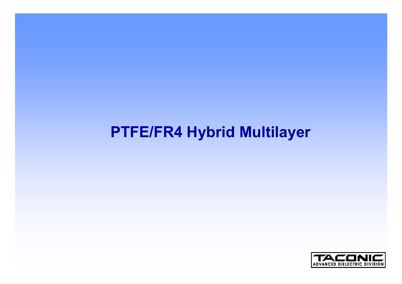#### **PTFE/FR4 Hybrid Multilayer**

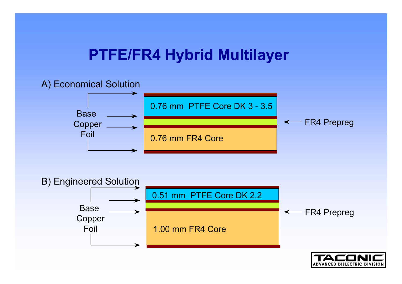#### **PTFE/FR4 Hybrid Multilayer**

#### A) Economical Solution





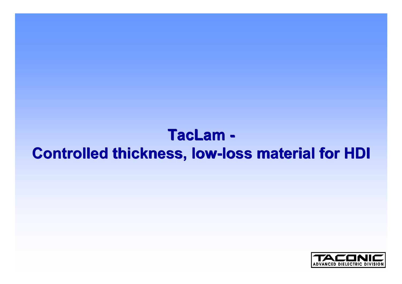### **TacLam - TacLam - Controlled thickness, low-loss material for HDI Controlled thickness, low-loss material for HDI**

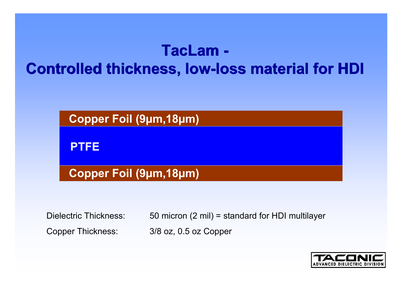# **TacLam - Controlled thickness, low-loss material for HDI TacLam -Controlled thickness, low-loss material for HDI**



Dielectric Thickness: 50 micron (2 mil) = standard for HDI multilayer Copper Thickness: 3/8 oz, 0.5 oz Copper

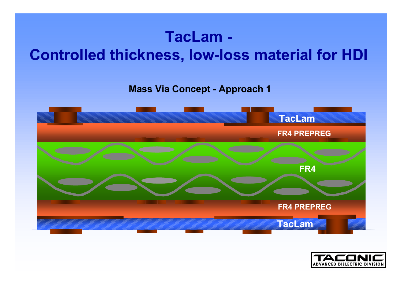# **TacLam - Controlled thickness, low-loss material for HDI**

**Mass Via Concept - Approach 1**



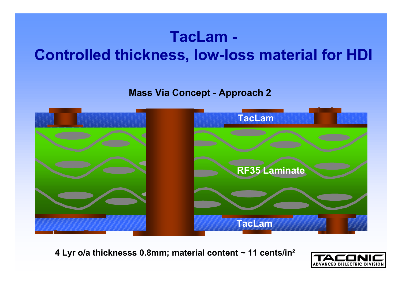# **TacLam - Controlled thickness, low-loss material for HDI**

**Mass Via Concept - Approach 2**



**4 Lyr o/a thicknesss 0.8mm; material content ~ 11 cents/in²**

![](_page_12_Picture_4.jpeg)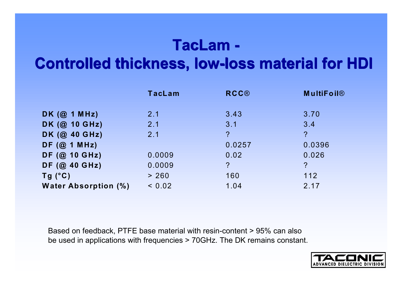# **TacLam - TacLam -**

#### **Controlled thickness, low-loss material for HDI Controlled thickness, low-loss material for HDI**

|                             | <b>TacLam</b> | <b>RCC®</b>    | <b>MultiFoil®</b>          |
|-----------------------------|---------------|----------------|----------------------------|
|                             |               |                |                            |
| DK $(Q_1 \cap MHz)$         | 2.1           | 3.43           | 3.70                       |
| DK (@ 10 GHz)               | 2.1           | 3.1            | 3.4                        |
| DK (@ 40 GHz)               | 2.1           | $\overline{?}$ | $\mathcal{P}$              |
| DF(@1 MHz)                  |               | 0.0257         | 0.0396                     |
| DF (@ 10 GHz)               | 0.0009        | 0.02           | 0.026                      |
| DF (@ 40 GHz)               | 0.0009        | $\overline{?}$ | $\boldsymbol{\mathcal{P}}$ |
| $Tg(^{\circ}C)$             | > 260         | 160            | 112                        |
| <b>Water Absorption (%)</b> | < 0.02        | 1.04           | 2.17                       |

Based on feedback, PTFE base material with resin-content > 95% can also be used in applications with frequencies > 70GHz. The DK remains constant.

![](_page_13_Picture_4.jpeg)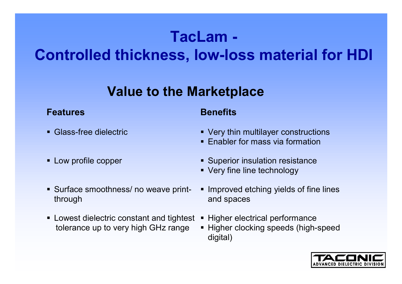# **TacLam -**

# **Controlled thickness, low-loss material for HDI**

#### **Value to the Marketplace**

#### **Features Benefits**

- Glass-free dielectric
- **Low profile copper**
- Surface smoothness/ no weave printthrough
- Lowest dielectric constant and tightest tolerance up to very high GHz range

- Very thin multilayer constructions
- **Enabler for mass via formation**
- **Superior insulation resistance**
- Very fine line technology
- **IMPROVED Etching yields of fine lines** and spaces
- Higher electrical performance
- Higher clocking speeds (high-speed digital)

![](_page_14_Picture_16.jpeg)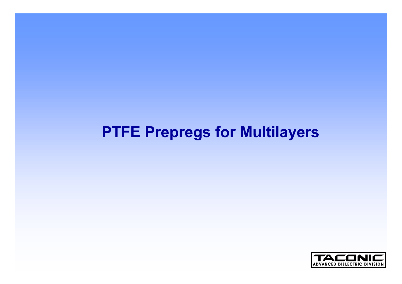![](_page_15_Picture_0.jpeg)

# **PTFE Prepregs for Multilayers**